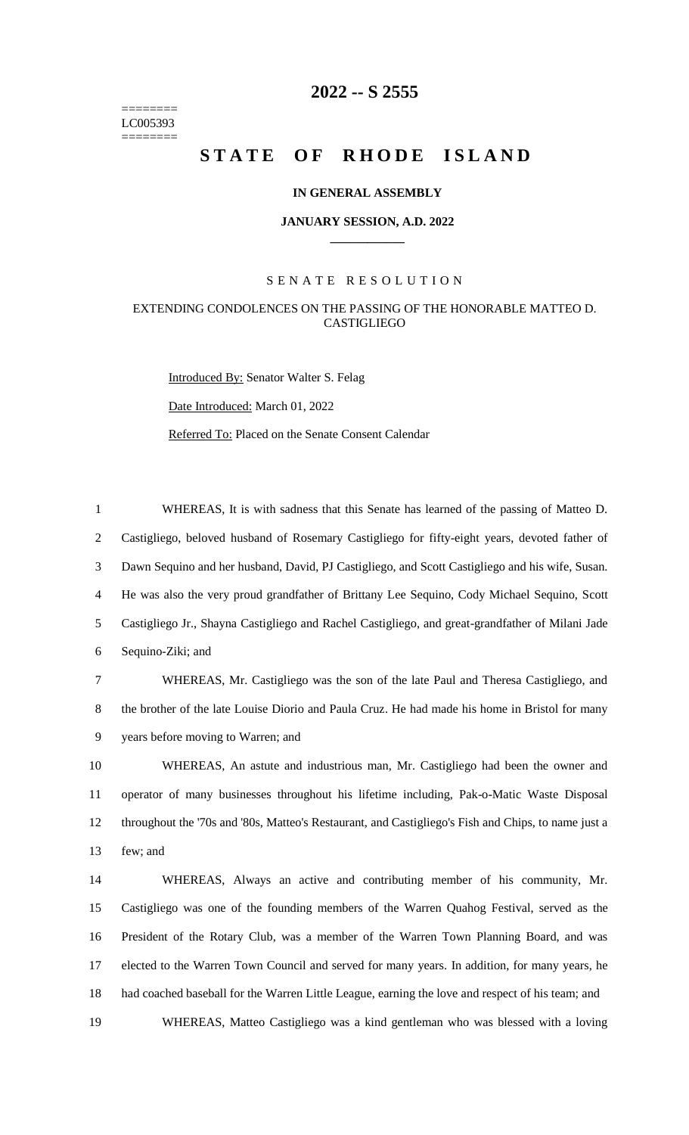======== LC005393 ========

# **-- S 2555**

# **STATE OF RHODE ISLAND**

# **IN GENERAL ASSEMBLY**

#### **JANUARY SESSION, A.D. 2022 \_\_\_\_\_\_\_\_\_\_\_\_**

# S E N A T E R E S O L U T I O N

# EXTENDING CONDOLENCES ON THE PASSING OF THE HONORABLE MATTEO D. **CASTIGLIEGO**

Introduced By: Senator Walter S. Felag Date Introduced: March 01, 2022 Referred To: Placed on the Senate Consent Calendar

 WHEREAS, It is with sadness that this Senate has learned of the passing of Matteo D. Castigliego, beloved husband of Rosemary Castigliego for fifty-eight years, devoted father of Dawn Sequino and her husband, David, PJ Castigliego, and Scott Castigliego and his wife, Susan. He was also the very proud grandfather of Brittany Lee Sequino, Cody Michael Sequino, Scott Castigliego Jr., Shayna Castigliego and Rachel Castigliego, and great-grandfather of Milani Jade Sequino-Ziki; and

 WHEREAS, Mr. Castigliego was the son of the late Paul and Theresa Castigliego, and the brother of the late Louise Diorio and Paula Cruz. He had made his home in Bristol for many years before moving to Warren; and

 WHEREAS, An astute and industrious man, Mr. Castigliego had been the owner and operator of many businesses throughout his lifetime including, Pak-o-Matic Waste Disposal throughout the '70s and '80s, Matteo's Restaurant, and Castigliego's Fish and Chips, to name just a few; and

 WHEREAS, Always an active and contributing member of his community, Mr. Castigliego was one of the founding members of the Warren Quahog Festival, served as the President of the Rotary Club, was a member of the Warren Town Planning Board, and was elected to the Warren Town Council and served for many years. In addition, for many years, he had coached baseball for the Warren Little League, earning the love and respect of his team; and

WHEREAS, Matteo Castigliego was a kind gentleman who was blessed with a loving